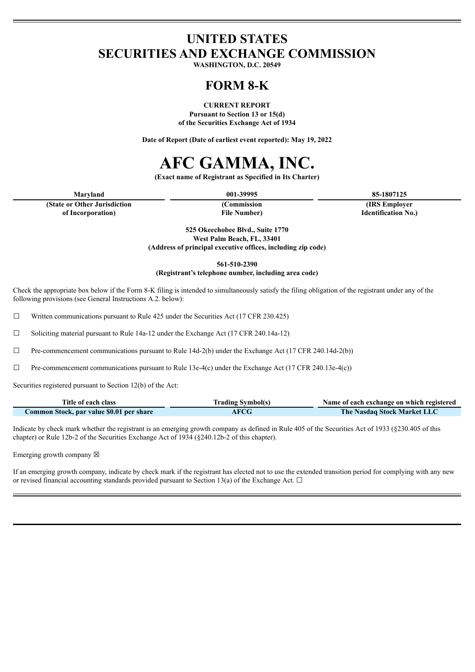# **UNITED STATES SECURITIES AND EXCHANGE COMMISSION**

**WASHINGTON, D.C. 20549**

# **FORM 8-K**

**CURRENT REPORT**

**Pursuant to Section 13 or 15(d) of the Securities Exchange Act of 1934**

**Date of Report (Date of earliest event reported): May 19, 2022**

# **AFC GAMMA, INC.**

**(Exact name of Registrant as Specified in Its Charter)**

**(State or Other Jurisdiction of Incorporation)**

**(Commission File Number)**

**Maryland 001-39995 85-1807125 (IRS Employer Identification No.)**

> **525 Okeechobee Blvd., Suite 1770 West Palm Beach, FL, 33401 (Address of principal executive offices, including zip code)**

> > **561-510-2390**

**(Registrant's telephone number, including area code)**

Check the appropriate box below if the Form 8-K filing is intended to simultaneously satisfy the filing obligation of the registrant under any of the following provisions (see General Instructions A.2. below):

☐ Written communications pursuant to Rule 425 under the Securities Act (17 CFR 230.425)

 $\Box$  Soliciting material pursuant to Rule 14a-12 under the Exchange Act (17 CFR 240.14a-12)

 $\Box$  Pre-commencement communications pursuant to Rule 14d-2(b) under the Exchange Act (17 CFR 240.14d-2(b))

 $\Box$  Pre-commencement communications pursuant to Rule 13e-4(c) under the Exchange Act (17 CFR 240.13e-4(c))

Securities registered pursuant to Section 12(b) of the Act:

| Title of each class                      | <b>Trading Symbol(s)</b> | Name of each exchange on which registered |
|------------------------------------------|--------------------------|-------------------------------------------|
| Common Stock, par value \$0.01 per share | AFCG                     | The Nasdaq Stock Market LLC               |

Indicate by check mark whether the registrant is an emerging growth company as defined in Rule 405 of the Securities Act of 1933 (§230.405 of this chapter) or Rule 12b-2 of the Securities Exchange Act of 1934 (§240.12b-2 of this chapter).

Emerging growth company  $\boxtimes$ 

If an emerging growth company, indicate by check mark if the registrant has elected not to use the extended transition period for complying with any new or revised financial accounting standards provided pursuant to Section 13(a) of the Exchange Act.  $\Box$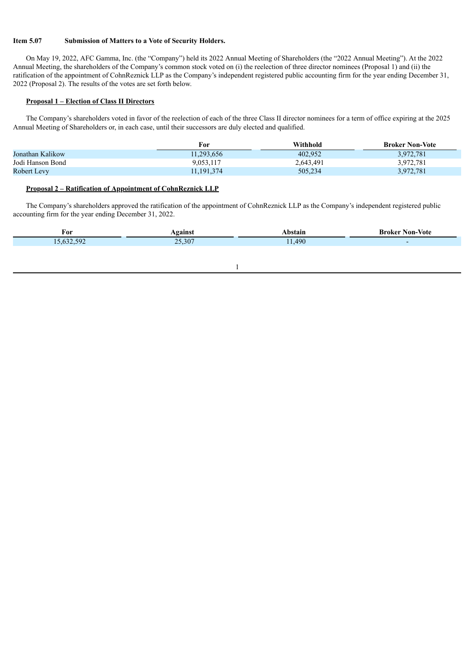#### **Item 5.07 Submission of Matters to a Vote of Security Holders.**

On May 19, 2022, AFC Gamma, Inc. (the "Company") held its 2022 Annual Meeting of Shareholders (the "2022 Annual Meeting"). At the 2022 Annual Meeting, the shareholders of the Company's common stock voted on (i) the reelection of three director nominees (Proposal 1) and (ii) the ratification of the appointment of CohnReznick LLP as the Company's independent registered public accounting firm for the year ending December 31, 2022 (Proposal 2). The results of the votes are set forth below.

## **Proposal 1 – Election of Class II Directors**

The Company's shareholders voted in favor of the reelection of each of the three Class II director nominees for a term of office expiring at the 2025 Annual Meeting of Shareholders or, in each case, until their successors are duly elected and qualified.

|                  | For          | Withhold  | <b>Broker Non-Vote</b> |
|------------------|--------------|-----------|------------------------|
| Jonathan Kalikow | 11,293,656   | 402.952   | 3,972,781              |
| Jodi Hanson Bond | 9,053,117    | 2,643,491 | 3,972,781              |
| Robert Levy      | 11, 191, 374 | 505,234   | 3,972,781              |

#### **Proposal 2 – Ratification of Appointment of CohnReznick LLP**

The Company's shareholders approved the ratification of the appointment of CohnReznick LLP as the Company's independent registered public accounting firm for the year ending December 31, 2022.

| For                          | gainsi         |      | Non-Vote<br>Broker |
|------------------------------|----------------|------|--------------------|
| $-50^\circ$<br>$\sim$ $\sim$ | 207<br>25.30 i | .490 |                    |
|                              |                |      |                    |

1